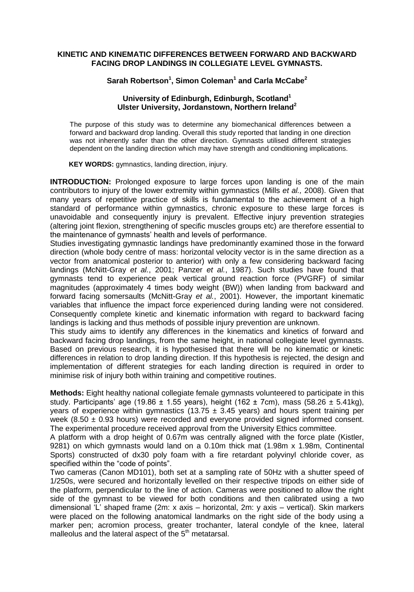#### **KINETIC AND KINEMATIC DIFFERENCES BETWEEN FORWARD AND BACKWARD FACING DROP LANDINGS IN COLLEGIATE LEVEL GYMNASTS.**

# **Sarah Robertson<sup>1</sup> , Simon Coleman<sup>1</sup> and Carla McCabe<sup>2</sup>**

### **University of Edinburgh, Edinburgh, Scotland<sup>1</sup> Ulster University, Jordanstown, Northern Ireland<sup>2</sup>**

The purpose of this study was to determine any biomechanical differences between a forward and backward drop landing. Overall this study reported that landing in one direction was not inherently safer than the other direction. Gymnasts utilised different strategies dependent on the landing direction which may have strength and conditioning implications.

**KEY WORDS:** gymnastics, landing direction, injury.

**INTRODUCTION:** Prolonged exposure to large forces upon landing is one of the main contributors to injury of the lower extremity within gymnastics (Mills *et al.,* 2008). Given that many years of repetitive practice of skills is fundamental to the achievement of a high standard of performance within gymnastics, chronic exposure to these large forces is unavoidable and consequently injury is prevalent. Effective injury prevention strategies (altering joint flexion, strengthening of specific muscles groups etc) are therefore essential to the maintenance of gymnasts' health and levels of performance.

Studies investigating gymnastic landings have predominantly examined those in the forward direction (whole body centre of mass: horizontal velocity vector is in the same direction as a vector from anatomical posterior to anterior) with only a few considering backward facing landings (McNitt-Gray *et al.*, 2001; Panzer *et al.*, 1987). Such studies have found that gymnasts tend to experience peak vertical ground reaction force (PVGRF) of similar magnitudes (approximately 4 times body weight (BW)) when landing from backward and forward facing somersaults (McNitt-Gray *et al.*, 2001). However, the important kinematic variables that influence the impact force experienced during landing were not considered. Consequently complete kinetic and kinematic information with regard to backward facing landings is lacking and thus methods of possible injury prevention are unknown.

This study aims to identify any differences in the kinematics and kinetics of forward and backward facing drop landings, from the same height, in national collegiate level gymnasts. Based on previous research, it is hypothesised that there will be no kinematic or kinetic differences in relation to drop landing direction. If this hypothesis is rejected, the design and implementation of different strategies for each landing direction is required in order to minimise risk of injury both within training and competitive routines.

**Methods:** Eight healthy national collegiate female gymnasts volunteered to participate in this study. Participants' age (19.86  $\pm$  1.55 years), height (162  $\pm$  7cm), mass (58.26  $\pm$  5.41kg), years of experience within gymnastics (13.75  $\pm$  3.45 years) and hours spent training per week  $(8.50 \pm 0.93$  hours) were recorded and everyone provided signed informed consent. The experimental procedure received approval from the University Ethics committee.

A platform with a drop height of 0.67m was centrally aligned with the force plate (Kistler, 9281) on which gymnasts would land on a 0.10m thick mat (1.98m x 1.98m, Continental Sports) constructed of dx30 poly foam with a fire retardant polyvinyl chloride cover, as specified within the "code of points".

Two cameras (Canon MD101), both set at a sampling rate of 50Hz with a shutter speed of 1/250s, were secured and horizontally levelled on their respective tripods on either side of the platform, perpendicular to the line of action. Cameras were positioned to allow the right side of the gymnast to be viewed for both conditions and then calibrated using a two dimensional 'L' shaped frame (2m: x axis – horizontal, 2m: y axis – vertical). Skin markers were placed on the following anatomical landmarks on the right side of the body using a marker pen; acromion process, greater trochanter, lateral condyle of the knee, lateral malleolus and the lateral aspect of the  $5<sup>th</sup>$  metatarsal.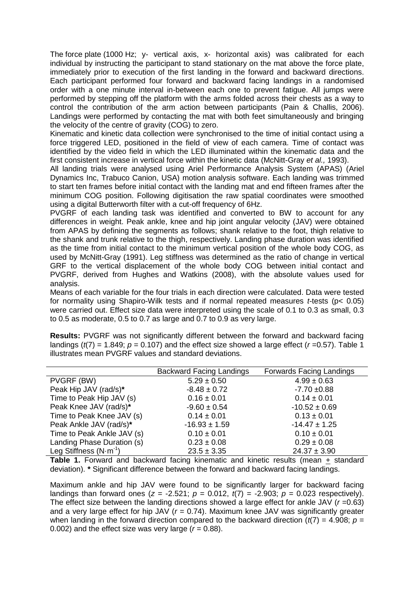The force plate (1000 Hz; y- vertical axis, x- horizontal axis) was calibrated for each individual by instructing the participant to stand stationary on the mat above the force plate, immediately prior to execution of the first landing in the forward and backward directions. Each participant performed four forward and backward facing landings in a randomised order with a one minute interval in-between each one to prevent fatigue. All jumps were performed by stepping off the platform with the arms folded across their chests as a way to control the contribution of the arm action between participants (Pain & Challis, 2006). Landings were performed by contacting the mat with both feet simultaneously and bringing the velocity of the centre of gravity (COG) to zero.

Kinematic and kinetic data collection were synchronised to the time of initial contact using a force triggered LED, positioned in the field of view of each camera. Time of contact was identified by the video field in which the LED illuminated within the kinematic data and the first consistent increase in vertical force within the kinetic data (McNitt-Gray *et al.,* 1993).

All landing trials were analysed using Ariel Performance Analysis System (APAS) (Ariel Dynamics Inc, Trabuco Canion, USA) motion analysis software. Each landing was trimmed to start ten frames before initial contact with the landing mat and end fifteen frames after the minimum COG position. Following digitisation the raw spatial coordinates were smoothed using a digital Butterworth filter with a cut-off frequency of 6Hz.

PVGRF of each landing task was identified and converted to BW to account for any differences in weight. Peak ankle, knee and hip joint angular velocity (JAV) were obtained from APAS by defining the segments as follows; shank relative to the foot, thigh relative to the shank and trunk relative to the thigh, respectively. Landing phase duration was identified as the time from initial contact to the minimum vertical position of the whole body COG, as used by McNitt-Gray (1991). Leg stiffness was determined as the ratio of change in vertical GRF to the vertical displacement of the whole body COG between initial contact and PVGRF, derived from Hughes and Watkins (2008), with the absolute values used for analysis.

Means of each variable for the four trials in each direction were calculated. Data were tested for normality using Shapiro-Wilk tests and if normal repeated measures *t*-tests (p< 0.05) were carried out. Effect size data were interpreted using the scale of 0.1 to 0.3 as small, 0.3 to 0.5 as moderate, 0.5 to 0.7 as large and 0.7 to 0.9 as very large.

**Results:** PVGRF was not significantly different between the forward and backward facing landings  $(t/7) = 1.849$ ;  $p = 0.107$ ) and the effect size showed a large effect ( $r = 0.57$ ). Table 1 illustrates mean PVGRF values and standard deviations.

|                                  | <b>Backward Facing Landings</b> | <b>Forwards Facing Landings</b> |
|----------------------------------|---------------------------------|---------------------------------|
| PVGRF (BW)                       | $5.29 \pm 0.50$                 | $4.99 \pm 0.63$                 |
| Peak Hip JAV (rad/s)*            | $-8.48 \pm 0.72$                | $-7.70 + 0.88$                  |
| Time to Peak Hip JAV (s)         | $0.16 \pm 0.01$                 | $0.14 \pm 0.01$                 |
| Peak Knee JAV (rad/s)*           | $-9.60 \pm 0.54$                | $-10.52 \pm 0.69$               |
| Time to Peak Knee JAV (s)        | $0.14 \pm 0.01$                 | $0.13 \pm 0.01$                 |
| Peak Ankle JAV (rad/s)*          | $-16.93 \pm 1.59$               | $-14.47 \pm 1.25$               |
| Time to Peak Ankle JAV (s)       | $0.10 \pm 0.01$                 | $0.10 \pm 0.01$                 |
| Landing Phase Duration (s)       | $0.23 \pm 0.08$                 | $0.29 \pm 0.08$                 |
| Leg Stiffness $(N \cdot m^{-1})$ | $23.5 \pm 3.35$                 | $24.37 \pm 3.90$                |

**Table 1.** Forward and backward facing kinematic and kinetic results (mean + standard deviation). **\*** Significant difference between the forward and backward facing landings.

Maximum ankle and hip JAV were found to be significantly larger for backward facing landings than forward ones  $(z = -2.521; p = 0.012, t(7) = -2.903; p = 0.023$  respectively). The effect size between the landing directions showed a large effect for ankle JAV (*r* =0.63) and a very large effect for hip JAV (*r* = 0.74). Maximum knee JAV was significantly greater when landing in the forward direction compared to the backward direction ( $t(7) = 4.908$ ;  $p =$ 0.002) and the effect size was very large  $(r = 0.88)$ .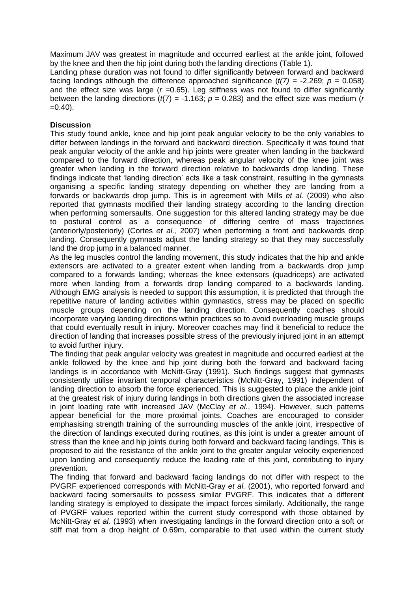Maximum JAV was greatest in magnitude and occurred earliest at the ankle joint, followed by the knee and then the hip joint during both the landing directions (Table 1).

Landing phase duration was not found to differ significantly between forward and backward facing landings although the difference approached significance  $(t/7) = -2.269$ ;  $p = 0.058$ ) and the effect size was large (*r =*0.65). Leg stiffness was not found to differ significantly between the landing directions  $(t/7) = -1.163$ ;  $p = 0.283$ ) and the effect size was medium (*r*  $=0.40$ ).

## **Discussion**

This study found ankle, knee and hip joint peak angular velocity to be the only variables to differ between landings in the forward and backward direction. Specifically it was found that peak angular velocity of the ankle and hip joints were greater when landing in the backward compared to the forward direction, whereas peak angular velocity of the knee joint was greater when landing in the forward direction relative to backwards drop landing. These findings indicate that 'landing direction' acts like a task constraint, resulting in the gymnasts organising a specific landing strategy depending on whether they are landing from a forwards or backwards drop jump. This is in agreement with Mills *et al.* (2009) who also reported that gymnasts modified their landing strategy according to the landing direction when performing somersaults. One suggestion for this altered landing strategy may be due to postural control as a consequence of differing centre of mass trajectories (anteriorly/posteriorly) (Cortes *et al.,* 2007) when performing a front and backwards drop landing. Consequently gymnasts adjust the landing strategy so that they may successfully land the drop jump in a balanced manner.

As the leg muscles control the landing movement, this study indicates that the hip and ankle extensors are activated to a greater extent when landing from a backwards drop jump compared to a forwards landing; whereas the knee extensors (quadriceps) are activated more when landing from a forwards drop landing compared to a backwards landing. Although EMG analysis is needed to support this assumption, it is predicted that through the repetitive nature of landing activities within gymnastics, stress may be placed on specific muscle groups depending on the landing direction. Consequently coaches should incorporate varying landing directions within practices so to avoid overloading muscle groups that could eventually result in injury. Moreover coaches may find it beneficial to reduce the direction of landing that increases possible stress of the previously injured joint in an attempt to avoid further injury.

The finding that peak angular velocity was greatest in magnitude and occurred earliest at the ankle followed by the knee and hip joint during both the forward and backward facing landings is in accordance with McNitt-Gray (1991). Such findings suggest that gymnasts consistently utilise invariant temporal characteristics (McNitt-Gray, 1991) independent of landing direction to absorb the force experienced. This is suggested to place the ankle joint at the greatest risk of injury during landings in both directions given the associated increase in joint loading rate with increased JAV (McClay *et al.*, 1994). However, such patterns appear beneficial for the more proximal joints. Coaches are encouraged to consider emphasising strength training of the surrounding muscles of the ankle joint, irrespective of the direction of landings executed during routines, as this joint is under a greater amount of stress than the knee and hip joints during both forward and backward facing landings. This is proposed to aid the resistance of the ankle joint to the greater angular velocity experienced upon landing and consequently reduce the loading rate of this joint, contributing to injury prevention.

The finding that forward and backward facing landings do not differ with respect to the PVGRF experienced corresponds with McNitt-Gray *et al.* (2001), who reported forward and backward facing somersaults to possess similar PVGRF. This indicates that a different landing strategy is employed to dissipate the impact forces similarly. Additionally, the range of PVGRF values reported within the current study correspond with those obtained by McNitt-Gray *et al.* (1993) when investigating landings in the forward direction onto a soft or stiff mat from a drop height of 0.69m, comparable to that used within the current study